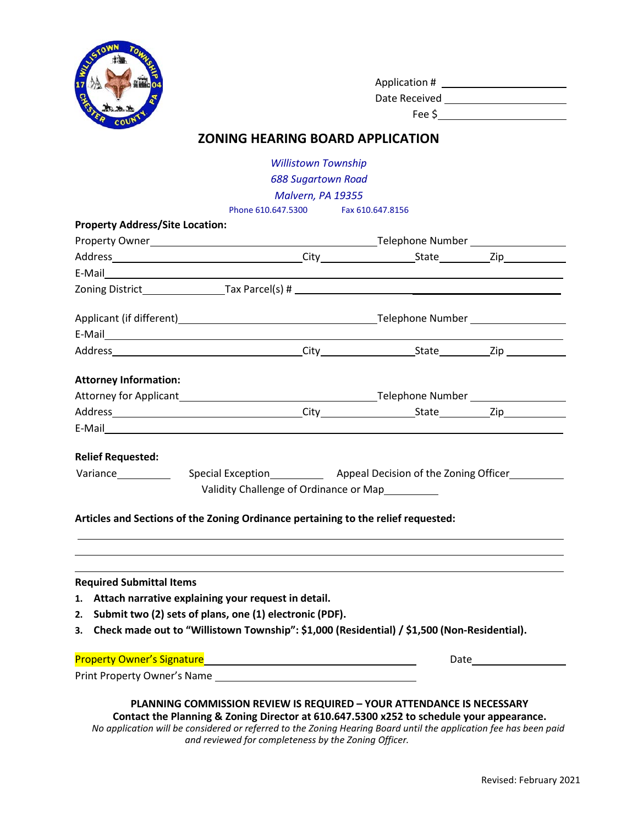

| Application # |  |
|---------------|--|
| Date Received |  |

Fee \$

## **ZONING HEARING BOARD APPLICATION**

| <b>688 Sugartown Road</b><br>Malvern, PA 19355<br>Phone 610.647.5300 Fax 610.647.8156<br><b>Property Address/Site Location:</b><br>E-Mail 2008 2009 2009 2010 2020 2020 2031 2040 2050 2061 2071 2082 2093 2009 2010 2021 2021 2022 202<br><b>Attorney Information:</b><br>Attorney for Applicant example and the contract of the contract of the Telephone Number example and the contract of the contract of the contract of the contract of the contract of the contract of the contract of the contra<br>E-Mail 2008 2009 2009 2010 2020 2021 2022 2023 2024 2022 2022 2023 2024 2022 2023 2024 2022 2023 2024 2022 20<br><b>Relief Requested:</b><br>Special Exception Special Exception Special Exception Special Exception Special Exception Special Special Special Special Special Special Special Special Special Special Special Special Special Special Special Special Spec<br>Variance<br>Validity Challenge of Ordinance or Map<br>Articles and Sections of the Zoning Ordinance pertaining to the relief requested:<br><b>Required Submittal Items</b><br>1. Attach narrative explaining your request in detail.<br>2. Submit two (2) sets of plans, one (1) electronic (PDF).<br>3. Check made out to "Willistown Township": \$1,000 (Residential) / \$1,500 (Non-Residential).<br>Property Owner's Signature<br>Property Owner's Signature<br>Date and the second second second second second second second second second second second second second second second second second second second second second second second second second second second second second second |  | <b>Willistown Township</b> |  |  |  |  |
|------------------------------------------------------------------------------------------------------------------------------------------------------------------------------------------------------------------------------------------------------------------------------------------------------------------------------------------------------------------------------------------------------------------------------------------------------------------------------------------------------------------------------------------------------------------------------------------------------------------------------------------------------------------------------------------------------------------------------------------------------------------------------------------------------------------------------------------------------------------------------------------------------------------------------------------------------------------------------------------------------------------------------------------------------------------------------------------------------------------------------------------------------------------------------------------------------------------------------------------------------------------------------------------------------------------------------------------------------------------------------------------------------------------------------------------------------------------------------------------------------------------------------------------------------------------------------------------------|--|----------------------------|--|--|--|--|
|                                                                                                                                                                                                                                                                                                                                                                                                                                                                                                                                                                                                                                                                                                                                                                                                                                                                                                                                                                                                                                                                                                                                                                                                                                                                                                                                                                                                                                                                                                                                                                                                |  |                            |  |  |  |  |
|                                                                                                                                                                                                                                                                                                                                                                                                                                                                                                                                                                                                                                                                                                                                                                                                                                                                                                                                                                                                                                                                                                                                                                                                                                                                                                                                                                                                                                                                                                                                                                                                |  |                            |  |  |  |  |
|                                                                                                                                                                                                                                                                                                                                                                                                                                                                                                                                                                                                                                                                                                                                                                                                                                                                                                                                                                                                                                                                                                                                                                                                                                                                                                                                                                                                                                                                                                                                                                                                |  |                            |  |  |  |  |
|                                                                                                                                                                                                                                                                                                                                                                                                                                                                                                                                                                                                                                                                                                                                                                                                                                                                                                                                                                                                                                                                                                                                                                                                                                                                                                                                                                                                                                                                                                                                                                                                |  |                            |  |  |  |  |
|                                                                                                                                                                                                                                                                                                                                                                                                                                                                                                                                                                                                                                                                                                                                                                                                                                                                                                                                                                                                                                                                                                                                                                                                                                                                                                                                                                                                                                                                                                                                                                                                |  |                            |  |  |  |  |
|                                                                                                                                                                                                                                                                                                                                                                                                                                                                                                                                                                                                                                                                                                                                                                                                                                                                                                                                                                                                                                                                                                                                                                                                                                                                                                                                                                                                                                                                                                                                                                                                |  |                            |  |  |  |  |
|                                                                                                                                                                                                                                                                                                                                                                                                                                                                                                                                                                                                                                                                                                                                                                                                                                                                                                                                                                                                                                                                                                                                                                                                                                                                                                                                                                                                                                                                                                                                                                                                |  |                            |  |  |  |  |
|                                                                                                                                                                                                                                                                                                                                                                                                                                                                                                                                                                                                                                                                                                                                                                                                                                                                                                                                                                                                                                                                                                                                                                                                                                                                                                                                                                                                                                                                                                                                                                                                |  |                            |  |  |  |  |
|                                                                                                                                                                                                                                                                                                                                                                                                                                                                                                                                                                                                                                                                                                                                                                                                                                                                                                                                                                                                                                                                                                                                                                                                                                                                                                                                                                                                                                                                                                                                                                                                |  |                            |  |  |  |  |
|                                                                                                                                                                                                                                                                                                                                                                                                                                                                                                                                                                                                                                                                                                                                                                                                                                                                                                                                                                                                                                                                                                                                                                                                                                                                                                                                                                                                                                                                                                                                                                                                |  |                            |  |  |  |  |
|                                                                                                                                                                                                                                                                                                                                                                                                                                                                                                                                                                                                                                                                                                                                                                                                                                                                                                                                                                                                                                                                                                                                                                                                                                                                                                                                                                                                                                                                                                                                                                                                |  |                            |  |  |  |  |
|                                                                                                                                                                                                                                                                                                                                                                                                                                                                                                                                                                                                                                                                                                                                                                                                                                                                                                                                                                                                                                                                                                                                                                                                                                                                                                                                                                                                                                                                                                                                                                                                |  |                            |  |  |  |  |
|                                                                                                                                                                                                                                                                                                                                                                                                                                                                                                                                                                                                                                                                                                                                                                                                                                                                                                                                                                                                                                                                                                                                                                                                                                                                                                                                                                                                                                                                                                                                                                                                |  |                            |  |  |  |  |
|                                                                                                                                                                                                                                                                                                                                                                                                                                                                                                                                                                                                                                                                                                                                                                                                                                                                                                                                                                                                                                                                                                                                                                                                                                                                                                                                                                                                                                                                                                                                                                                                |  |                            |  |  |  |  |
|                                                                                                                                                                                                                                                                                                                                                                                                                                                                                                                                                                                                                                                                                                                                                                                                                                                                                                                                                                                                                                                                                                                                                                                                                                                                                                                                                                                                                                                                                                                                                                                                |  |                            |  |  |  |  |
|                                                                                                                                                                                                                                                                                                                                                                                                                                                                                                                                                                                                                                                                                                                                                                                                                                                                                                                                                                                                                                                                                                                                                                                                                                                                                                                                                                                                                                                                                                                                                                                                |  |                            |  |  |  |  |
|                                                                                                                                                                                                                                                                                                                                                                                                                                                                                                                                                                                                                                                                                                                                                                                                                                                                                                                                                                                                                                                                                                                                                                                                                                                                                                                                                                                                                                                                                                                                                                                                |  |                            |  |  |  |  |
|                                                                                                                                                                                                                                                                                                                                                                                                                                                                                                                                                                                                                                                                                                                                                                                                                                                                                                                                                                                                                                                                                                                                                                                                                                                                                                                                                                                                                                                                                                                                                                                                |  |                            |  |  |  |  |
|                                                                                                                                                                                                                                                                                                                                                                                                                                                                                                                                                                                                                                                                                                                                                                                                                                                                                                                                                                                                                                                                                                                                                                                                                                                                                                                                                                                                                                                                                                                                                                                                |  |                            |  |  |  |  |
|                                                                                                                                                                                                                                                                                                                                                                                                                                                                                                                                                                                                                                                                                                                                                                                                                                                                                                                                                                                                                                                                                                                                                                                                                                                                                                                                                                                                                                                                                                                                                                                                |  |                            |  |  |  |  |
|                                                                                                                                                                                                                                                                                                                                                                                                                                                                                                                                                                                                                                                                                                                                                                                                                                                                                                                                                                                                                                                                                                                                                                                                                                                                                                                                                                                                                                                                                                                                                                                                |  |                            |  |  |  |  |
|                                                                                                                                                                                                                                                                                                                                                                                                                                                                                                                                                                                                                                                                                                                                                                                                                                                                                                                                                                                                                                                                                                                                                                                                                                                                                                                                                                                                                                                                                                                                                                                                |  |                            |  |  |  |  |
|                                                                                                                                                                                                                                                                                                                                                                                                                                                                                                                                                                                                                                                                                                                                                                                                                                                                                                                                                                                                                                                                                                                                                                                                                                                                                                                                                                                                                                                                                                                                                                                                |  |                            |  |  |  |  |
|                                                                                                                                                                                                                                                                                                                                                                                                                                                                                                                                                                                                                                                                                                                                                                                                                                                                                                                                                                                                                                                                                                                                                                                                                                                                                                                                                                                                                                                                                                                                                                                                |  |                            |  |  |  |  |
|                                                                                                                                                                                                                                                                                                                                                                                                                                                                                                                                                                                                                                                                                                                                                                                                                                                                                                                                                                                                                                                                                                                                                                                                                                                                                                                                                                                                                                                                                                                                                                                                |  |                            |  |  |  |  |

## **PLANNING COMMISSION REVIEW IS REQUIRED – YOUR ATTENDANCE IS NECESSARY Contact the Planning & Zoning Director at 610.647.5300 x252 to schedule your appearance.**

*No application will be considered or referred to the Zoning Hearing Board until the application fee has been paid and reviewed for completeness by the Zoning Officer.*